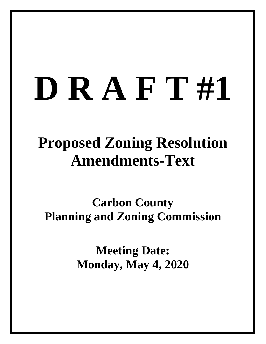# **D R A F T #1**

# **Proposed Zoning Resolution Amendments-Text**

**Carbon County Planning and Zoning Commission**

> **Meeting Date: Monday, May 4, 2020**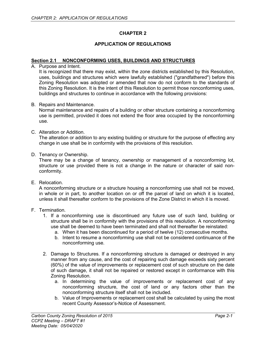# **CHAPTER 2**

# **APPLICATION OF REGULATIONS**

#### **Section 2.1 NONCONFORMING USES, BUILDINGS AND STRUCTURES**

A. Purpose and Intent.

It is recognized that there may exist, within the zone districts established by this Resolution, uses, buildings and structures which were lawfully established ("grandfathered") before this Zoning Resolution was adopted or amended that now do not conform to the standards of this Zoning Resolution. It is the intent of this Resolution to permit those nonconforming uses, buildings and structures to continue in accordance with the following provisions:

B. Repairs and Maintenance.

Normal maintenance and repairs of a building or other structure containing a nonconforming use is permitted, provided it does not extend the floor area occupied by the nonconforming use.

C. Alteration or Addition.

The alteration or addition to any existing building or structure for the purpose of effecting any change in use shall be in conformity with the provisions of this resolution.

D. Tenancy or Ownership.

There may be a change of tenancy, ownership or management of a nonconforming lot, structure or use provided there is not a change in the nature or character of said nonconformity.

E. Relocation.

A nonconforming structure or a structure housing a nonconforming use shall not be moved, in whole or in part, to another location on or off the parcel of land on which it is located, unless it shall thereafter conform to the provisions of the Zone District in which it is moved.

- F. Termination.
	- 1. If a nonconforming use is discontinued any future use of such land, building or structure shall be in conformity with the provisions of this resolution. A nonconforming use shall be deemed to have been terminated and shall not thereafter be reinstated:
		- a. When it has been discontinued for a period of twelve (12) consecutive months.
		- b. Intent to resume a nonconforming use shall not be considered continuance of the nonconforming use.
	- 2. Damage to Structures. If a nonconforming structure is damaged or destroyed in any manner from any cause, and the cost of repairing such damage exceeds sixty percent (60%) of the value of improvements or replacement cost of such structure on the date of such damage, it shall not be repaired or restored except in conformance with this Zoning Resolution.
		- a. In determining the value of improvements or replacement cost of any nonconforming structure, the cost of land or any factors other than the nonconforming structure itself shall not be included.
		- b. Value of Improvements or replacement cost shall be calculated by using the most recent County Assessor's-Notice of Assessment.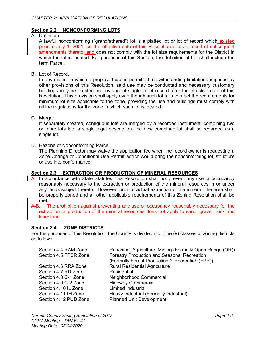# **Section 2.2 NONCONFORMING LOTS**

A. Definition.

A lawful nonconforming ("grandfathered") lot is a platted lot or lot of record which existed prior to July 1, 2001, on the effective date of this Resolution or as a result of subsequent amendments thereto, and does not comply with the lot size requirements for the District in which the lot is located. For purposes of this Section, the definition of Lot shall include the term Parcel.

B. Lot of Record.

In any district in which a proposed use is permitted, notwithstanding limitations imposed by other provisions of this Resolution, said use may be conducted and necessary customary buildings may be erected on any vacant single lot of record after the effective date of this Resolution. This provision shall apply even though such lot fails to meet the requirements for minimum lot size applicable to the zone, providing the use and buildings must comply with all the regulations for the zone in which such lot is located.

C. Merger.

If separately created, contiguous lots are merged by a recorded instrument, combining two or more lots into a single legal description, the new combined lot shall be regarded as a single lot.

D. Rezone of Nonconforming Parcel.

The Planning Director may waive the application fee when the record owner is requesting a Zone Change or Conditional Use Permit, which would bring the nonconforming lot, structure or use into conformance.

# **Section 2.3 EXTRACTION OR PRODUCTION OF MINERAL RESOURCES**

- A. In accordance with State Statutes, this Resolution shall not prevent any use or occupancy reasonably necessary to the extraction or production of the mineral resources in or under any lands subject thereto. However, prior to actual extraction of the mineral, the area shall be properly zoned and all other applicable requirements of this Zoning Resolution shall be met.
- A.B. The prohibition against preventing any use or occupancy reasonably necessary for the extraction or production of the mineral resources does not apply to sand, gravel, rock and limestone.

# **Section 2.4 ZONE DISTRICTS**

For the purposes of this Resolution, the County is divided into nine (9) classes of zoning districts as follows:

| Ranching, Agriculture, Mining (Formally Open Range (OR))<br><b>Forestry Production and Seasonal Recreation</b><br>(Formally Forest Production & Recreation (FPR)) |
|-------------------------------------------------------------------------------------------------------------------------------------------------------------------|
| <b>Rural Residential Agriculture</b>                                                                                                                              |
| Residential                                                                                                                                                       |
| Neighborhood Commercial                                                                                                                                           |
| <b>Highway Commercial</b>                                                                                                                                         |
| <b>Limited Industrial</b>                                                                                                                                         |
| Heavy Industrial (Formally Industrial)                                                                                                                            |
| <b>Planned Unit Development</b>                                                                                                                                   |
|                                                                                                                                                                   |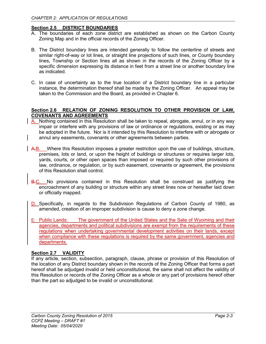### **Section 2.5 DISTRICT BOUNDARIES**

- A. The boundaries of each zone district are established as shown on the Carbon County Zoning Map and in the official records of the Zoning Officer.
- B. The District boundary lines are intended generally to follow the centerline of streets and similar right-of-way or lot lines, or straight line projections of such lines, or County boundary lines, Township or Section lines all as shown in the records of the Zoning Officer by a specific dimension expressing its distance in feet from a street line or another boundary line as indicated.
- C. In case of uncertainty as to the true location of a District boundary line in a particular instance, the determination thereof shall be made by the Zoning Officer. An appeal may be taken to the Commission and the Board, as provided in Chapter 6.

#### **Section 2.6 RELATION OF ZONING RESOLUTION TO OTHER PROVISION OF LAW, COVENANTS AND AGREEMENTS**

- A. Nothing contained in this Resolution shall be taken to repeal, abrogate, annul, or in any way impair or interfere with any provisions of law or ordinance or regulations, existing or as may be adopted in the future. Nor is it intended by this Resolution to interfere with or abrogate or annul any easements, covenants or other agreements between parties.
- A.B. Where this Resolution imposes a greater restriction upon the use of buildings, structure, premises, lots or land, or upon the height of buildings or structures or requires larger lots, yards, courts, or other open spaces than imposed or required by such other provisions of law, ordinance, or regulation, or by such easement, covenants or agreement, the provisions of this Resolution shall control.
- B.C. No provisions contained in this Resolution shall be construed as justifying the encroachment of any building or structure within any street lines now or hereafter laid down or officially mapped.
- D. Specifically, in regards to the Subdivision Regulations of Carbon County of 1980, as amended, creation of an improper subdivision is cause to deny a zone change.
- E. Public Lands: The government of the United States and the Sate of Wyoming and their agencies, departments and political subdivisions are exempt from the requirements of these regulations when undertaking governmental development activities on their lands, except when compliance with these regulations is required by the same government, agencies and departments.

# **Section 2.7 VALIDITY**

If any article, section, subsection, paragraph, clause, phrase or provision of this Resolution of the location of any District boundary shown in the records of the Zoning Officer that forms a part hereof shall be adjudged invalid or held unconstitutional, the same shall not affect the validity of this Resolution or records of the Zoning Officer as a whole or any part of provisions hereof other than the part so adjudged to be invalid or unconstitutional.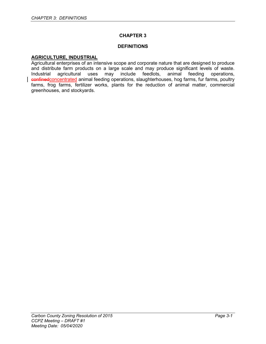## **CHAPTER 3**

#### **DEFINITIONS**

#### **AGRICULTURE, INDUSTRIAL**

Agricultural enterprises of an intensive scope and corporate nature that are designed to produce and distribute farm products on a large scale and may produce significant levels of waste. Industrial agricultural uses may include feedlots, animal feeding operations, confinedconcentrated animal feeding operations, slaughterhouses, hog farms, fur farms, poultry farms, frog farms, fertilizer works, plants for the reduction of animal matter, commercial greenhouses, and stockyards.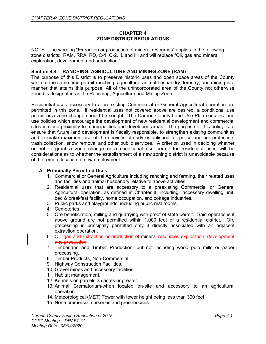### **CHAPTER 4 ZONE DISTRICT REGULATIONS**

NOTE: The wording "Extraction or production of mineral resources" applies to the following zone districts: RAM, RRA, RD, C-1, C-2, IL and IH and will replace "Oil, gas and mineral exploration, development and production."

# **Section 4.4 RANCHING, AGRICULTURE AND MINING ZONE (RAM)**

The purpose of this District is to preserve historic uses and open space areas of the County while at the same time permit ranching, agriculture, animal husbandry, forestry, and mining in a manner that attains this purpose. All of the unincorporated area of the County not otherwise zoned is designated as the Ranching, Agriculture and Mining Zone.

Residential uses accessory to a preexisting Commercial or General Agricultural operation are permitted in this zone. If residential uses not covered above are desired, a conditional use permit or a zone change should be sought. The Carbon County Land Use Plan contains land use policies which encourage the development of new residential development and commercial sites in close proximity to municipalities and developed areas. The purpose of this policy is to ensure that future land development is fiscally responsible, to strengthen existing communities and to make maximum use of the services already established for police and fire protection, trash collection, snow removal and other public services. A criterion used in deciding whether or not to grant a zone change or a conditional use permit for residential uses will be considerations as to whether the establishment of a new zoning district is unavoidable because of the remote location of new employment.

# **A. Principally Permitted Uses:**

- 1. Commercial or General Agriculture including ranching and farming, their related uses and facilities and animal husbandry relative to above activities.
- 2. Residential uses that are accessory to a preexisting Commercial or General Agricultural operation, as defined in Chapter III including accessory dwelling unit, bed & breakfast facility, home occupation, and cottage industries.
- 3. Public parks and playgrounds, including public rest rooms.
- 4. Cemeteries.
- 5. Ore beneficiation, milling and quarrying with proof of state permit. Said operations if above ground are not permitted within 1,000 feet of a residential district. Ore processing is principally permitted only if directly associated with an adjacent extraction operation.
- 6. Oil, gas and Extraction or production of mineral resources exploration, development and production.
- 7. Timberland and Timber Production, but not including wood pulp mills or paper processing.
- 8. Timber Products, Non-Commercial.
- 9. Highway Construction Facilities.
- 10. Gravel mines and accessory facilities.
- 11. Habitat management.
- 12. Kennels on parcels 35 acres or greater.
- 13. Animal Crematorium-when located on-site and accessory to an agricultural operation.
- 14. Meteorological (MET) Tower with tower height being less than 300 feet.
- 15. Non-commercial nurseries and greenhouses.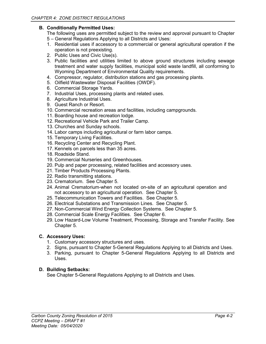# **B. Conditionally Permitted Uses:**

The following uses are permitted subject to the review and approval pursuant to Chapter 5 – General Regulations Applying to all Districts and Uses:

- 1. Residential uses if accessory to a commercial or general agricultural operation if the operation is not preexisting.
- 2. Public Uses and Civic Use(s).
- 3. Public facilities and utilities limited to above ground structures including sewage treatment and water supply facilities, municipal solid waste landfill, all conforming to Wyoming Department of Environmental Quality requirements.
- 4. Compressor, regulator, distribution stations and gas processing plants.
- 5. Oilfield Wastewater Disposal Facilities (OWDF).
- 6. Commercial Storage Yards.
- 7. Industrial Uses, processing plants and related uses.
- 8. Agriculture Industrial Uses.
- 9. Guest Ranch or Resort.
- 10. Commercial recreation areas and facilities, including campgrounds.
- 11. Boarding house and recreation lodge.
- 12. Recreational Vehicle Park and Trailer Camp.
- 13. Churches and Sunday schools.
- 14. Labor camps including agricultural or farm labor camps.
- 15. Temporary Living Facilities.
- 16. Recycling Center and Recycling Plant.
- 17. Kennels on parcels less than 35 acres.
- 18. Roadside Stand.
- 19. Commercial Nurseries and Greenhouses.
- 20. Pulp and paper processing, related facilities and accessory uses.
- 21. Timber Products Processing Plants.
- 22. Radio transmitting stations.
- 23. Crematorium. See Chapter 5.
- 24. Animal Crematorium-when not located on-site of an agricultural operation and not accessory to an agricultural operation. See Chapter 5.
- 25. Telecommunication Towers and Facilities. See Chapter 5.
- 26. Electrical Substations and Transmission Lines. See Chapter 5.
- 27. Non-Commercial Wind Energy Collection Systems. See Chapter 5.
- 28. Commercial Scale Energy Facilities. See Chapter 6.
- 29. Low Hazard-Low Volume Treatment, Processing, Storage and Transfer Facility. See Chapter 5.

#### **C. Accessory Uses:**

- 1. Customary accessory structures and uses.
- 2. Signs, pursuant to Chapter 5-General Regulations Applying to all Districts and Uses.
- 3. Parking, pursuant to Chapter 5-General Regulations Applying to all Districts and Uses.

# **D. Building Setbacks:**

See Chapter 5-General Regulations Applying to all Districts and Uses.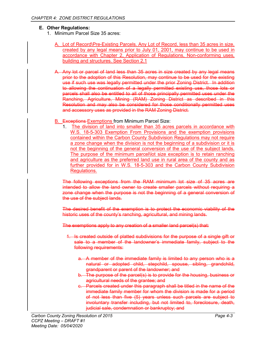# **E. Other Regulations:**

- 1. Minimum Parcel Size 35 acres:
	- A. Lot of Record\Pre-Existing Parcels. Any Lot of Record, less than 35 acres in size, created by any legal means prior to July 01, 2001, may continue to be used in accordance with Chapter 2, Application of Regulations, Non-conforming uses, building and structures. See Section 2.1
	- A. Any lot or parcel of land less than 35 acres in size created by any legal means prior to the adoption of this Resolution, may continue to be used for the existing use if such use was legally permitted under the prior Zoning District. In addition to allowing the continuation of a legally permitted existing use, those lots or parcels shall also be entitled to all of those principally permitted uses under the Ranching, Agriculture, Mining (RAM) Zoning District as described in this Resolution and may also be considered for those conditionally permitted uses and accessory uses as provided in the RAM Zoning District.
	- B. Exceptions Exemptions from Minimum Parcel Size:
		- 1. The division of land into smaller than 35 acres parcels in accordance with W.S. 18-5-303 Exemption From Provisions and the exemption provisions contained within the Carbon County Subdivision Regulations may not require a zone change when the division is not the beginning of a subdivision or it is not the beginning of the general conversion of the use of the subject lands. The purpose of the minimum parcel\lot size exception is to retain ranching and agriculture as the preferred land use in rural area of the county and as further provided for in W.S. 18-5-303 and the Carbon County Subdivision Regulations.

The following exceptions from the RAM minimum lot size of 35 acres are intended to allow the land owner to create smaller parcels without requiring a zone change when the purpose is not the beginning of a general conversion of the use of the subject lands.

The desired benefit of the exemption is to protect the economic viability of the historic uses of the county's ranching, agricultural, and mining lands.

The exemptions apply to any creation of a smaller land parcel(s) that:

- 1. Is created outside of platted subdivisions for the purpose of a single gift or sale to a member of the landowner's immediate family, subject to the following requirements:
	- a. A member of the immediate family is limited to any person who is a natural or adopted child, stepchild, spouse, sibling, grandchild, grandparent or parent of the landowner; and
	- b. The purpose of the parcel(s) is to provide for the housing, business or agricultural needs of the grantee; and
	- c. Parcels created under this paragraph shall be titled in the name of the immediate family member for whom the division is made for a period of not less than five (5) years unless such parcels are subject to involuntary transfer including, but not limited to, foreclosure, death, judicial sale, condemnation or bankruptcy; and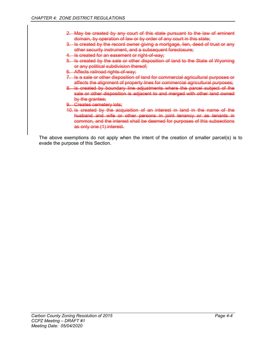- 2. May be created by any court of this state pursuant to the law of eminent domain, by operation of law or by order of any court in this state;
- 3. Is created by the record owner giving a mortgage, lien, deed of trust or any other security instrument, and a subsequent foreclosure;
- 4. Is created for an easement or right-of-way;
- 5. Is created by the sale or other disposition of land to the State of Wyoming or any political subdivision thereof;
- 6. Affects railroad rights-of-way;
- 7. Is a sale or other disposition of land for commercial agricultural purposes or affects the alignment of property lines for commercial agricultural purposes;
- 8. Is created by boundary line adjustments where the parcel subject of the sale or other disposition is adjacent to and merged with other land owned by the grantee;
- 9. Creates cemetery lots;
- 10. Is created by the acquisition of an interest in land in the name of the husband and wife or other persons in joint tenancy or as tenants in common, and the interest shall be deemed for purposes of this subsections as only one (1) interest.

The above exemptions do not apply when the intent of the creation of smaller parcel(s) is to evade the purpose of this Section.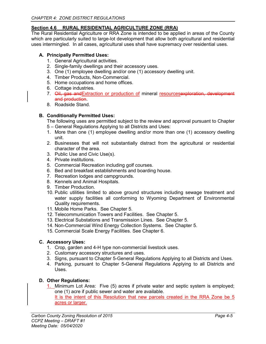# **Section 4.6 RURAL RESIDENTIAL AGRICULTURE ZONE (RRA)**

The Rural Residential Agriculture or RRA Zone is intended to be applied in areas of the County which are particularly suited to large-lot development that allow both agricultural and residential uses intermingled. In all cases, agricultural uses shall have supremacy over residential uses.

# **A. Principally Permitted Uses:**

- 1. General Agricultural activities.
- 2. Single-family dwellings and their accessory uses.
- 3. One (1) employee dwelling and/or one (1) accessory dwelling unit.
- 4. Timber Products, Non-Commercial.
- 5. Home occupations and home offices.
- 6. Cottage industries.
- 7. Oil, gas and Extraction or production of mineral resourcesexploration, development and production.
- 8. Roadside Stand.

# **B. Conditionally Permitted Uses:**

The following uses are permitted subject to the review and approval pursuant to Chapter 5 – General Regulations Applying to all Districts and Uses:

- 1. More than one (1) employee dwelling and/or more than one (1) accessory dwelling unit.
- 2. Businesses that will not substantially distract from the agricultural or residential character of the area.
- 3. Public Use and Civic Use(s).
- 4. Private institutions.
- 5. Commercial Recreation including golf courses.
- 6. Bed and breakfast establishments and boarding house.
- 7. Recreation lodges and campgrounds.
- 8. Kennels and Animal Hospitals.
- 9. Timber Production.
- 10. Public utilities limited to above ground structures including sewage treatment and water supply facilities all conforming to Wyoming Department of Environmental Quality requirements.
- 11. Mobile Home Parks. See Chapter 5.
- 12. Telecommunication Towers and Facilities. See Chapter 5.
- 13. Electrical Substations and Transmission Lines. See Chapter 5.
- 14. Non-Commercial Wind Energy Collection Systems. See Chapter 5.
- 15. Commercial Scale Energy Facilities. See Chapter 6.

# **C. Accessory Uses:**

- 1. Crop, garden and 4-H type non-commercial livestock uses.
- 2. Customary accessory structures and uses.
- 3. Signs, pursuant to Chapter 5-General Regulations Applying to all Districts and Uses.
- 4. Parking, pursuant to Chapter 5-General Regulations Applying to all Districts and Uses.

# **D. Other Regulations:**

1. Minimum Lot Area: Five (5) acres if private water and septic system is employed; one (1) acre if public sewer and water are available. It is the intent of this Resolution that new parcels created in the RRA Zone be 5 acres or larger.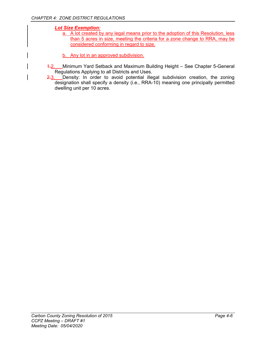*Lot Size Exemption:* 

- a. A lot created by any legal means prior to the adoption of this Resolution, less than 5 acres in size, meeting the criteria for a zone change to RRA, may be considered conforming in regard to size.
- b. Any lot in an approved subdivision.
- 1.2. Minimum Yard Setback and Maximum Building Height See Chapter 5-General Regulations Applying to all Districts and Uses.
- 2.3. Density: In order to avoid potential illegal subdivision creation, the zoning designation shall specify a density (i.e., RRA-10) meaning one principally permitted dwelling unit per 10 acres.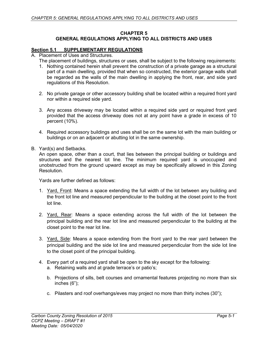#### **CHAPTER 5 GENERAL REGULATIONS APPLYING TO ALL DISTRICTS AND USES**

#### **Section 5.1 SUPPLEMENTARY REGULATIONS**

- A. Placement of Uses and Structures.
	- The placement of buildings, structures or uses, shall be subject to the following requirements:
		- 1. Nothing contained herein shall prevent the construction of a private garage as a structural part of a main dwelling, provided that when so constructed, the exterior garage walls shall be regarded as the walls of the main dwelling in applying the front, rear, and side yard regulations of this Resolution.
		- 2. No private garage or other accessory building shall be located within a required front yard nor within a required side yard.
		- 3. Any access driveway may be located within a required side yard or required front yard provided that the access driveway does not at any point have a grade in excess of 10 percent (10%).
		- 4. Required accessory buildings and uses shall be on the same lot with the main building or buildings or on an adjacent or abutting lot in the same ownership.
- B. Yard(s) and Setbacks.

An open space, other than a court, that lies between the principal building or buildings and structures and the nearest lot line. The minimum required yard is unoccupied and unobstructed from the ground upward except as may be specifically allowed in this Zoning Resolution.

Yards are further defined as follows:

- 1. Yard, Front: Means a space extending the full width of the lot between any building and the front lot line and measured perpendicular to the building at the closet point to the front lot line.
- 2. Yard, Rear: Means a space extending across the full width of the lot between the principal building and the rear lot line and measured perpendicular to the building at the closet point to the rear lot line.
- 3. Yard, Side: Means a space extending from the front yard to the rear yard between the principal building and the side lot line and measured perpendicular from the side lot line to the closet point of the principal building.
- 4. Every part of a required yard shall be open to the sky except for the following:
	- a. Retaining walls and at grade terrace's or patio's;
	- b. Projections of sills, belt courses and ornamental features projecting no more than six inches (6");
	- c. Pilasters and roof overhangs/eves may project no more than thirty inches (30");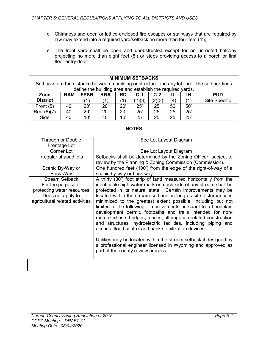- d. Chimneys and open or lattice enclosed fire escapes or stairways that are required by law may extend into a required yard/setback no more than four feet (4');
- e. The front yard shall be open and unobstructed except for an unroofed balcony projecting no more than eight feet (8') or steps providing access to a porch or first floor entry door.

| <b>MINIMUM SETBACKS</b>                                                                                                                                                                                                                                                                                                                                                                                                                                                                                                                                                                                                                                                                                                                                                                                                                                                                                                                                                                                                              |                                                                                                                            |             |            |           |        |                        |     |     |                      |
|--------------------------------------------------------------------------------------------------------------------------------------------------------------------------------------------------------------------------------------------------------------------------------------------------------------------------------------------------------------------------------------------------------------------------------------------------------------------------------------------------------------------------------------------------------------------------------------------------------------------------------------------------------------------------------------------------------------------------------------------------------------------------------------------------------------------------------------------------------------------------------------------------------------------------------------------------------------------------------------------------------------------------------------|----------------------------------------------------------------------------------------------------------------------------|-------------|------------|-----------|--------|------------------------|-----|-----|----------------------|
| Setbacks are the distance between a building or structure and any lot line. The setback lines<br>define the building area and establish the required yards.                                                                                                                                                                                                                                                                                                                                                                                                                                                                                                                                                                                                                                                                                                                                                                                                                                                                          |                                                                                                                            |             |            |           |        |                        |     |     |                      |
| Zone                                                                                                                                                                                                                                                                                                                                                                                                                                                                                                                                                                                                                                                                                                                                                                                                                                                                                                                                                                                                                                 | <b>RAM</b>                                                                                                                 | <b>FPSR</b> | <b>RRA</b> | <b>RD</b> | $C-1$  | $C-2$                  | IL  | IH. | <b>PUD</b>           |
| <b>District</b>                                                                                                                                                                                                                                                                                                                                                                                                                                                                                                                                                                                                                                                                                                                                                                                                                                                                                                                                                                                                                      |                                                                                                                            | (1)         | (1)        | (1)       | (2)(3) | (2)(3)                 | (4) | (4) | <b>Site Specific</b> |
| Front (5)                                                                                                                                                                                                                                                                                                                                                                                                                                                                                                                                                                                                                                                                                                                                                                                                                                                                                                                                                                                                                            | 40'                                                                                                                        | 20'         | 20'        | 20'       | 25'    | 25'                    | 50' | 50' |                      |
| Rear(6)(7)                                                                                                                                                                                                                                                                                                                                                                                                                                                                                                                                                                                                                                                                                                                                                                                                                                                                                                                                                                                                                           | 40'                                                                                                                        | 20'         | 20'        | 20'       | 25'    | 25'                    | 25' | 25' |                      |
| Side                                                                                                                                                                                                                                                                                                                                                                                                                                                                                                                                                                                                                                                                                                                                                                                                                                                                                                                                                                                                                                 | 40'                                                                                                                        | 10'         | 10'        | 10'       | 25'    | 25'                    | 25' | 25' |                      |
| <b>NOTES</b>                                                                                                                                                                                                                                                                                                                                                                                                                                                                                                                                                                                                                                                                                                                                                                                                                                                                                                                                                                                                                         |                                                                                                                            |             |            |           |        |                        |     |     |                      |
| Through or Double                                                                                                                                                                                                                                                                                                                                                                                                                                                                                                                                                                                                                                                                                                                                                                                                                                                                                                                                                                                                                    | Frontage Lot                                                                                                               |             |            |           |        | See Lot Layout Diagram |     |     |                      |
|                                                                                                                                                                                                                                                                                                                                                                                                                                                                                                                                                                                                                                                                                                                                                                                                                                                                                                                                                                                                                                      | Corner Lot                                                                                                                 |             |            |           |        | See Lot Layout Diagram |     |     |                      |
| Irregular shaped lots                                                                                                                                                                                                                                                                                                                                                                                                                                                                                                                                                                                                                                                                                                                                                                                                                                                                                                                                                                                                                | Setbacks shall be determined by the Zoning Officer, subject to<br>review by the Planning & Zoning Commission (Commission). |             |            |           |        |                        |     |     |                      |
| One hundred feet (100') from the edge of the right-of-way of a<br>Scenic By-Way or                                                                                                                                                                                                                                                                                                                                                                                                                                                                                                                                                                                                                                                                                                                                                                                                                                                                                                                                                   |                                                                                                                            |             |            |           |        |                        |     |     |                      |
| Back Way<br>scenic by-way or back way.<br>A thirty (30') foot strip of land measured horizontally from the<br><b>Stream Setback</b><br>identifiable high water mark on each side of any stream shall be<br>For the purpose of<br>protecting water resources<br>protected in its natural state. Certain improvements may be<br>Does not apply to<br>located within the stream setback as long as site disturbance is<br>minimized to the greatest extent possible, including but not<br>agricultural related activities<br>limited to the following: improvements pursuant to a floodplain<br>development permit, footpaths and trails intended for non-<br>motorized use, bridges, fences, all irrigation related construction<br>and structures, hydroelectric facilities, including piping and<br>ditches, flood control and bank stabilization devices.<br>Utilities may be located within the stream setback if designed by<br>a professional engineer licensed in Wyoming and approved as<br>part of the county review process. |                                                                                                                            |             |            |           |        |                        |     |     |                      |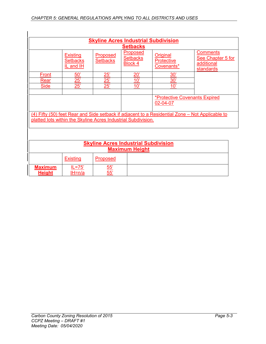| <b>Skyline Acres Industrial Subdivision</b>                                                                                                                      |                                                 |                             |                                               |                                             |                                                                 |  |  |  |  |
|------------------------------------------------------------------------------------------------------------------------------------------------------------------|-------------------------------------------------|-----------------------------|-----------------------------------------------|---------------------------------------------|-----------------------------------------------------------------|--|--|--|--|
|                                                                                                                                                                  | <b>Setbacks</b>                                 |                             |                                               |                                             |                                                                 |  |  |  |  |
|                                                                                                                                                                  | <b>Existing</b><br><b>Setbacks</b><br>IL and IH | Proposed<br><b>Setbacks</b> | Proposed<br><b>Setbacks</b><br><b>Block 4</b> | Original<br><b>Protective</b><br>Covenants* | <b>Comments</b><br>See Chapter 5 for<br>additional<br>standards |  |  |  |  |
| Front                                                                                                                                                            | 50'                                             | <u> 25'</u>                 | $20^{\circ}$                                  | 30'                                         |                                                                 |  |  |  |  |
| Rear                                                                                                                                                             | <u> 25'</u>                                     | $\frac{25}{1}$              | 10'                                           | 30'                                         |                                                                 |  |  |  |  |
| <b>Side</b>                                                                                                                                                      | 25'                                             | 25'                         | 10'                                           | 10'                                         |                                                                 |  |  |  |  |
|                                                                                                                                                                  |                                                 |                             |                                               |                                             |                                                                 |  |  |  |  |
| <b>*Protective Covenants Expired</b><br>02-04-07                                                                                                                 |                                                 |                             |                                               |                                             |                                                                 |  |  |  |  |
| (4) Fifty (50) feet Rear and Side setback if adjacent to a Residential Zone – Not Applicable to<br>platted lots within the Skyline Acres Industrial Subdivision. |                                                 |                             |                                               |                                             |                                                                 |  |  |  |  |

| <b>Skyline Acres Industrial Subdivision</b><br><b>Maximum Height</b> |                  |                 |  |  |  |  |  |
|----------------------------------------------------------------------|------------------|-----------------|--|--|--|--|--|
|                                                                      | <b>Existing</b>  | Proposed        |  |  |  |  |  |
| <b>Maximum</b><br><b>Height</b>                                      | IL=75'<br>IH=n/a | $\frac{55}{55}$ |  |  |  |  |  |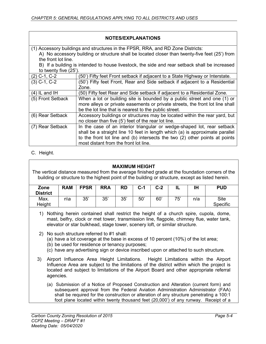#### **NOTES/EXPLANATIONS**

| (1) Accessory buildings and structures in the FPSR, RRA, and RD Zone Districts:                |                                                                               |  |  |  |  |  |  |  |
|------------------------------------------------------------------------------------------------|-------------------------------------------------------------------------------|--|--|--|--|--|--|--|
| A) No accessory building or structure shall be located closer than twenty-five feet (25') from |                                                                               |  |  |  |  |  |  |  |
| the front lot line.                                                                            |                                                                               |  |  |  |  |  |  |  |
| B) If a building is intended to house livestock, the side and rear setback shall be increased  |                                                                               |  |  |  |  |  |  |  |
|                                                                                                | to twenty five (25').                                                         |  |  |  |  |  |  |  |
| $(2)$ C-1, C-2                                                                                 | (50') Fifty feet Front setback if adjacent to a State Highway or Interstate.  |  |  |  |  |  |  |  |
| $(3)$ C-1, C-2                                                                                 | (50') Fifty feet Front, Rear and Side setback if adjacent to a Residential    |  |  |  |  |  |  |  |
|                                                                                                | Zone.                                                                         |  |  |  |  |  |  |  |
| $(4)$ IL and IH                                                                                | (50) Fifty feet Rear and Side setback if adjacent to a Residential Zone.      |  |  |  |  |  |  |  |
| (5) Front Setback                                                                              | When a lot or building site is bounded by a public street and one (1) or      |  |  |  |  |  |  |  |
|                                                                                                | more alleys or private easements or private streets, the front lot line shall |  |  |  |  |  |  |  |
|                                                                                                | be the lot line that is nearest to the public street.                         |  |  |  |  |  |  |  |
| (6) Rear Setback                                                                               | Accessory buildings or structures may be located within the rear yard, but    |  |  |  |  |  |  |  |
|                                                                                                | no closer than five (5') feet of the rear lot line.                           |  |  |  |  |  |  |  |
| (7) Rear Setback                                                                               | In the case of an interior triangular or wedge-shaped lot, rear setback       |  |  |  |  |  |  |  |
|                                                                                                | shall be a straight line 10 feet in length which (a) is approximate parallel  |  |  |  |  |  |  |  |
|                                                                                                | to the front lot line and (b) intersects the two (2) other points at points   |  |  |  |  |  |  |  |
|                                                                                                | most distant from the front lot line.                                         |  |  |  |  |  |  |  |

C. Height.

#### **MAXIMUM HEIGHT**

The vertical distance measured from the average finished grade at the foundation corners of the building or structure to the highest point of the building or structure, except as listed herein.

| Zone<br><b>District</b> | <b>RAM</b> | <b>FPSR</b> | <b>RRA</b> | RD  | $C-1$ | $C-2$ |     | ш<br>ıп | <b>PUD</b>                     |
|-------------------------|------------|-------------|------------|-----|-------|-------|-----|---------|--------------------------------|
| Max.<br>Height          | n∖a        | 35'         | 35'        | 35' | 50'   | 60'   | 75' | n/a     | <b>Site</b><br><b>Specific</b> |

- 1) Nothing herein contained shall restrict the height of a church spire, cupola, dome, mast, belfry, clock or met tower, transmission line, flagpole, chimney flue, water tank, elevator or star bulkhead, stage tower, scenery loft, or similar structure.
- 2) No such structure referred to #1 shall:
	- (a) have a lot coverage at the base in excess of 10 percent (10%) of the lot area;
	- (b) be used for residence or tenancy purposes;
	- (c) have any advertising sign or device inscribed upon or attached to such structure.
- 3) Airport Influence Area Height Limitations. Height Limitations within the Airport Influence Area are subject to the limitations of the district within which the project is located and subject to limitations of the Airport Board and other appropriate referral agencies.
	- (a) Submission of a Notice of Proposed Construction and Alteration (current form) and subsequent approval from the Federal Aviation Administration Administrator (FAA) shall be required for the construction or alteration of any structure penetrating a 100:1 foot plane located within twenty thousand feet (20,000') of any runway. Receipt of a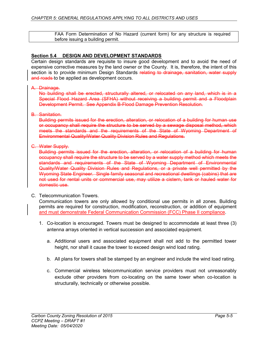FAA Form Determination of No Hazard (current form) for any structure is required before issuing a building permit.

#### **Section 5.4 DESIGN AND DEVELOPMENT STANDARDS**

Certain design standards are requisite to insure good development and to avoid the need of expensive corrective measures by the land owner or the County. It is, therefore, the intent of this section is to provide minimum Design Standards relating to drainage, sanitation, water supply and roads to be applied as development occurs.

#### A. Drainage.

No building shall be erected, structurally altered, or relocated on any land, which is in a Special Flood Hazard Area (SFHA) without receiving a building permit and a Floodplain Development Permit. See Appendix B-Flood Damage Prevention Resolution.

#### B. Sanitation.

Building permits issued for the erection, alteration, or relocation of a building for human use or occupancy shall require the structure to be served by a sewage disposal method, which meets the standards and the requirements of the State of Wyoming Department of Environmental Quality/Water Quality Division Rules and Regulations.

#### C. Water Supply.

Building permits issued for the erection, alteration, or relocation of a building for human occupancy shall require the structure to be served by a water supply method which meets the standards and requirements of the State of Wyoming Department of Environmental Quality/Water Quality Division Rules and Regulations, or a private well permitted by the Wyoming State Engineer. Single family seasonal and recreational dwellings (cabins) that are not used for rental units or commercial use, may utilize a cistern, tank or hauled water for domestic use.

#### C. Telecommunication Towers.

Communication towers are only allowed by conditional use permits in all zones. Building permits are required for construction, modification, reconstruction, or addition of equipment and must demonstrate Federal Communication Commission (FCC) Phase II compliance.

- 1. Co-location is encouraged. Towers must be designed to accommodate at least three (3) antenna arrays oriented in vertical succession and associated equipment.
	- a. Additional users and associated equipment shall not add to the permitted tower height, nor shall it cause the tower to exceed design wind load rating.
	- b. All plans for towers shall be stamped by an engineer and include the wind load rating.
	- c. Commercial wireless telecommunication service providers must not unreasonably exclude other providers from co-locating on the same tower when co-location is structurally, technically or otherwise possible.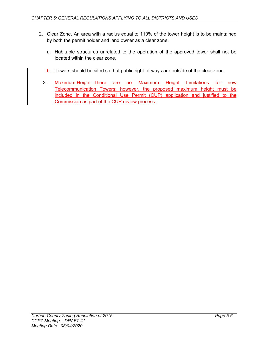- 2. Clear Zone. An area with a radius equal to 110% of the tower height is to be maintained by both the permit holder and land owner as a clear zone.
	- a. Habitable structures unrelated to the operation of the approved tower shall not be located within the clear zone.
	- b. Towers should be sited so that public right-of-ways are outside of the clear zone.
	- 3. Maximum Height. There are no Maximum Height Limitations for new Telecommunication Towers; however, the proposed maximum height must be included in the Conditional Use Permit (CUP) application and justified to the Commission as part of the CUP review process.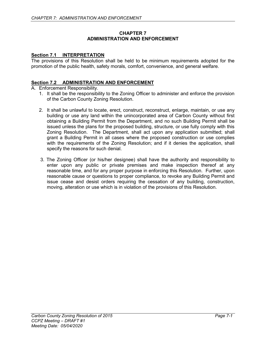#### **CHAPTER 7 ADMINISTRATION AND ENFORCEMENT**

## **Section 7.1 INTERPRETATION**

The provisions of this Resolution shall be held to be minimum requirements adopted for the promotion of the public health, safety morals, comfort, convenience, and general welfare.

#### **Section 7.2 ADMINISTRATION AND ENFORCEMENT**

#### A. Enforcement Responsibility.

- 1. It shall be the responsibility to the Zoning Officer to administer and enforce the provision of the Carbon County Zoning Resolution.
- 2. It shall be unlawful to locate, erect, construct, reconstruct, enlarge, maintain, or use any building or use any land within the unincorporated area of Carbon County without first obtaining a Building Permit from the Department, and no such Building Permit shall be issued unless the plans for the proposed building, structure, or use fully comply with this Zoning Resolution. The Department, shall act upon any application submitted; shall grant a Building Permit in all cases where the proposed construction or use complies with the requirements of the Zoning Resolution; and if it denies the application, shall specify the reasons for such denial.
- 3. The Zoning Officer (or his/her designee) shall have the authority and responsibility to enter upon any public or private premises and make inspection thereof at any reasonable time, and for any proper purpose in enforcing this Resolution. Further, upon reasonable cause or questions to proper compliance, to revoke any Building Permit and issue cease and desist orders requiring the cessation of any building, construction, moving, alteration or use which is in violation of the provisions of this Resolution.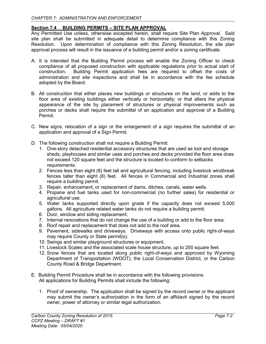# **Section 7.4 BUILDING PERMITS – SITE PLAN APPROVAL**

Any Permitted Use unless, otherwise excepted herein, shall require Site Plan Approval. Said site plan shall be submitted in adequate detail to determine compliance with this Zoning Resolution. Upon determination of compliance with this Zoning Resolution, the site plan approval process will result in the issuance of a building permit and/or a zoning certificate.

- A. It is intended that the Building Permit process will enable the Zoning Officer to check compliance of all proposed construction with applicable regulations prior to actual start of Building Permit application fees are required to offset the costs of administration and site inspections and shall be in accordance with the fee schedule adopted by the Board.
- B. All construction that either places new buildings or structures on the land, or adds to the floor area of existing buildings either vertically or horizontally; or that alters the physical appearance of the site by placement of structures or physical improvements such as porches or decks shall require the submittal of an application and approval of a Building Permit.
- C. New signs, relocation of a sign or the enlargement of a sign requires the submittal of an application and approval of a Sign Permit.
- D. The following construction shall not require a Building Permit:
	- 1. One-story detached residential accessory structures that are used as tool and storage sheds, playhouses and similar uses and porches and decks provided the floor area does not exceed 120 square feet and the structure is located to conform to setbacks requirements.
	- 2. Fences less than eight (8) feet tall and agricultural fencing, including livestock windbreak fences taller than eight (8) feet. All fences in Commercial and Industrial zones shall require a building permit.
	- 3. Repair, enhancement, or replacement of dams, ditches, canals, water wells.
	- 4. Propane and fuel tanks used for non-commercial (no further sales) for residential or agricultural use.
	- 5. Water tanks supported directly upon grade if the capacity does not exceed 5,000 gallons. All agriculture related water tanks do not require a building permit.
	- 6. Door, window and siding replacement.
	- 7. Internal renovations that do not change the use of a building or add to the floor area.
	- 8. Roof repair and replacement that does not add to the roof area.
	- 9. Pavement, sidewalks and driveways. Driveways with access onto public right-of-ways may require County or State permit(s).
	- 10. Swings and similar playground structures or equipment.
	- 11. Livestock Scales and the associated scale house structure, up to 200 square feet.
	- 12. Snow fences that are located along public right-of-ways and approved by Wyoming Department of Transportation (WDOT), the Local Conservation District, or the Carbon County Road & Bridge Department.
- E. Building Permit Procedure shall be in accordance with the following provisions. All applications for Building Permits shall include the following:
	- 1. Proof of ownership. The application shall be signed by the record owner or the applicant may submit the owner's authorization in the form of an affidavit signed by the record owner, power of attorney or similar legal authorization.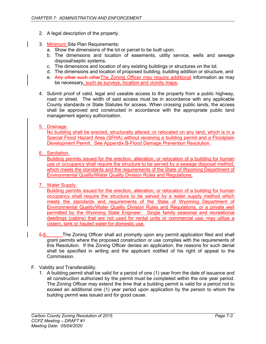- 2. A legal description of the property.
- 3. Minimum Site Plan Requirements:
	- a. Show the dimensions of the lot or parcel to be built upon.
	- b. The dimensions and location of easements, utility service, wells and sewage disposal\septic systems.
	- c. The dimensions and location of any existing buildings or structures on the lot.
	- d. The dimensions and location of proposed building, building addition or structure, and
	- e. Any other such otherThe Zoning Officer may require additional information as may be necessary, such as surveys, location and vicinity maps.
- 4. Submit proof of valid, legal and useable access to the property from a public highway, road or street. The width of said access must be in accordance with any applicable County standards or State Statutes for access. When crossing public lands, the access shall be approved and constructed in accordance with the appropriate public land management agency authorization.

## 5. Drainage.

No building shall be erected, structurally altered, or relocated on any land, which is in a Special Flood Hazard Area (SFHA) without receiving a building permit and a Floodplain Development Permit. See Appendix B-Flood Damage Prevention Resolution.

6. Sanitation.

Building permits issued for the erection, alteration, or relocation of a building for human use or occupancy shall require the structure to be served by a sewage disposal method, which meets the standards and the requirements of the State of Wyoming Department of Environmental Quality/Water Quality Division Rules and Regulations.

7. Water Supply.

Building permits issued for the erection, alteration, or relocation of a building for human occupancy shall require the structure to be served by a water supply method which meets the standards and requirements of the State of Wyoming Department of Environmental Quality/Water Quality Division Rules and Regulations, or a private well permitted by the Wyoming State Engineer. Single family seasonal and recreational dwellings (cabins) that are not used for rental units or commercial use, may utilize a cistern, tank or hauled water for domestic use.

- 5.8. The Zoning Officer shall act promptly upon any permit application filed and shall grant permits where the proposed construction or use complies with the requirements of this Resolution. If the Zoning Officer denies an application, the reasons for such denial shall be specified in writing and the applicant notified of his right of appeal to the Commission.
- F. Validity and Transferability.
	- 1. A building permit shall be valid for a period of one (1) year from the date of issuance and all construction authorized by the permit must be completed within the one year period. The Zoning Officer may extend the time that a building permit is valid for a period not to exceed an additional one (1) year period upon application by the person to whom the building permit was issued and for good cause.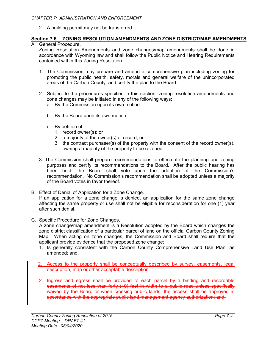2. A building permit may not be transferred.

# **Section 7.6 ZONING RESOLUTION AMENDMENTS AND ZONE DISTRICT\MAP AMENDMENTS**

A. General Procedure.

Zoning Resolution Amendments and zone changes\map amendments shall be done in accordance with Wyoming law and shall follow the Public Notice and Hearing Requirements contained within this Zoning Resolution.

- 1. The Commission may prepare and amend a comprehensive plan including zoning for promoting the public health, safety, morals and general welfare of the unincorporated areas of the Carbon County, and certify the plan to the Board.
- 2. Subject to the procedures specified in this section, zoning resolution amendments and zone changes may be initiated in any of the following ways:
	- a. By the Commission upon its own motion.
	- b. By the Board upon its own motion.
	- c. By petition of:
		- 1. record owner(s); or
		- 2. a majority of the owner(s) of record; or
		- 3. the contract purchaser(s) of the property with the consent of the record owner(s), owning a majority of the property to be rezoned.
- 3. The Commission shall prepare recommendations to effectuate the planning and zoning purposes and certify its recommendations to the Board. After the public hearing has been held, the Board shall vote upon the adoption of the Commission's recommendation. No Commission's recommendation shall be adopted unless a majority of the Board votes in favor thereof.
- B. Effect of Denial of Application for a Zone Change. If an application for a zone change is denied, an application for the same zone change affecting the same property or use shall not be eligible for reconsideration for one (1) year after such denial.
- C. Specific Procedure for Zone Changes.

A zone change\map amendment is a Resolution adopted by the Board which changes the zone district classification of a particular parcel of land on the official Carbon County Zoning Map. When acting on zone changes, the Commission and Board shall require that the applicant provide evidence that the proposed zone change:

- 1. Is generally consistent with the Carbon County Comprehensive Land Use Plan, as amended; and,
- 2. Access to the property shall be conceptually described by survey, easements, legal description, map or other acceptable description.
- 2. Ingress and egress shall be provided to each parcel by a binding and recordable easements of not less than forty (40) feet in width to a public road unless specifically waived by the Board or when crossing public lands, the access shall be approved in accordance with the appropriate public land management agency authorization; and,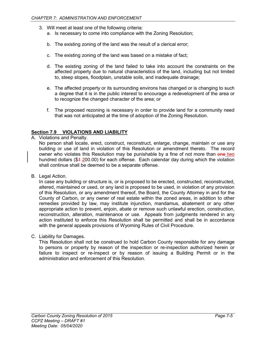- 3. Will meet at least one of the following criteria:
	- a. Is necessary to come into compliance with the Zoning Resolution;
	- b. The existing zoning of the land was the result of a clerical error;
	- c. The existing zoning of the land was based on a mistake of fact;
	- d. The existing zoning of the land failed to take into account the constraints on the affected property due to natural characteristics of the land, including but not limited to, steep slopes, floodplain, unstable soils, and inadequate drainage;
	- e. The affected property or its surrounding environs has changed or is changing to such a degree that it is in the public interest to encourage a redevelopment of the area or to recognize the changed character of the area; or
	- f. The proposed rezoning is necessary in order to provide land for a community need that was not anticipated at the time of adoption of the Zoning Resolution.

#### **Section 7.9 VIOLATIONS AND LIABILITY**

A. Violations and Penalty.

No person shall locate, erect, construct, reconstruct, enlarge, change, maintain or use any building or use of land in violation of this Resolution or amendment thereto. The record owner who violates this Resolution may be punishable by a fine of not more than one two hundred dollars ( $$4 \, 200.00$ ) for each offense. Each calendar day during which the violation shall continue shall be deemed to be a separate offense.

B. Legal Action.

In case any building or structure is, or is proposed to be erected, constructed, reconstructed, altered, maintained or used, or any land is proposed to be used, in violation of any provision of this Resolution, or any amendment thereof, the Board, the County Attorney in and for the County of Carbon, or any owner of real estate within the zoned areas, in addition to other remedies provided by law, may institute injunction, mandamus, abatement or any other appropriate action to prevent, enjoin, abate or remove such unlawful erection, construction, reconstruction, alteration, maintenance or use. Appeals from judgments rendered in any action instituted to enforce this Resolution shall be permitted and shall be in accordance with the general appeals provisions of Wyoming Rules of Civil Procedure.

C. Liability for Damages.

This Resolution shall not be construed to hold Carbon County responsible for any damage to persons or property by reason of the inspection or re-inspection authorized herein or failure to inspect or re-inspect or by reason of issuing a Building Permit or in the administration and enforcement of this Resolution.